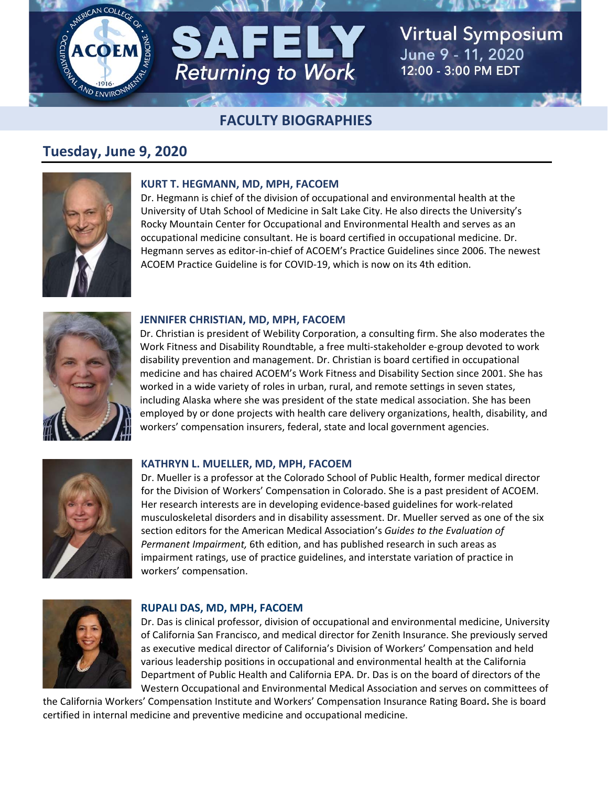# **Virtual Symposium ACOEN** June 9 - 11, 2020 **Returning to Work** 12:00 - 3:00 PM EDT  $\sqrt{11}$

# **FACULTY BIOGRAPHIES**

# **Tuesday, June 9, 2020**



# **KURT T. HEGMANN, MD, MPH, FACOEM**

Dr. Hegmann is chief of the division of occupational and environmental health at the University of Utah School of Medicine in Salt Lake City. He also directs the University's Rocky Mountain Center for Occupational and Environmental Health and serves as an occupational medicine consultant. He is board certified in occupational medicine. Dr. Hegmann serves as editor‐in‐chief of ACOEM's Practice Guidelines since 2006. The newest ACOEM Practice Guideline is for COVID‐19, which is now on its 4th edition.



### **JENNIFER CHRISTIAN, MD, MPH, FACOEM**

Dr. Christian is president of Webility Corporation, a consulting firm. She also moderates the Work Fitness and Disability Roundtable, a free multi‐stakeholder e‐group devoted to work disability prevention and management. Dr. Christian is board certified in occupational medicine and has chaired ACOEM's Work Fitness and Disability Section since 2001. She has worked in a wide variety of roles in urban, rural, and remote settings in seven states, including Alaska where she was president of the state medical association. She has been employed by or done projects with health care delivery organizations, health, disability, and workers' compensation insurers, federal, state and local government agencies.



#### **KATHRYN L. MUELLER, MD, MPH, FACOEM**

Dr. Mueller is a professor at the Colorado School of Public Health, former medical director for the Division of Workers' Compensation in Colorado. She is a past president of ACOEM. Her research interests are in developing evidence‐based guidelines for work‐related musculoskeletal disorders and in disability assessment. Dr. Mueller served as one of the six section editors for the American Medical Association's *Guides to the Evaluation of Permanent Impairment,* 6th edition, and has published research in such areas as impairment ratings, use of practice guidelines, and interstate variation of practice in workers' compensation.



#### **RUPALI DAS, MD, MPH, FACOEM**

Dr. Das is clinical professor, division of occupational and environmental medicine, University of California San Francisco, and medical director for Zenith Insurance. She previously served as executive medical director of California's Division of Workers' Compensation and held various leadership positions in occupational and environmental health at the California Department of Public Health and California EPA. Dr. Das is on the board of directors of the Western Occupational and Environmental Medical Association and serves on committees of

the California Workers' Compensation Institute and Workers' Compensation Insurance Rating Board**.** She is board certified in internal medicine and preventive medicine and occupational medicine.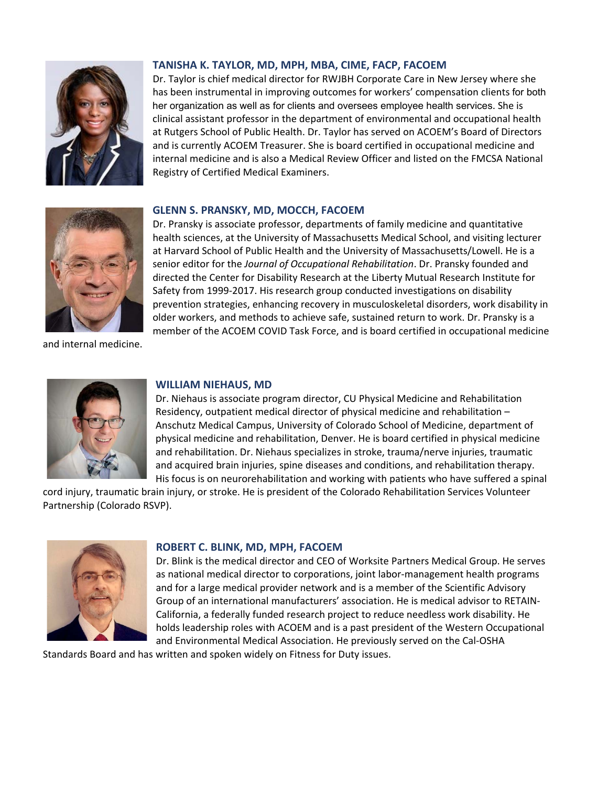

# **TANISHA K. TAYLOR, MD, MPH, MBA, CIME, FACP, FACOEM**

Dr. Taylor is chief medical director for RWJBH Corporate Care in New Jersey where she has been instrumental in improving outcomes for workers' compensation clients for both her organization as well as for clients and oversees employee health services. She is clinical assistant professor in the department of environmental and occupational health at Rutgers School of Public Health. Dr. Taylor has served on ACOEM's Board of Directors and is currently ACOEM Treasurer. She is board certified in occupational medicine and internal medicine and is also a Medical Review Officer and listed on the FMCSA National Registry of Certified Medical Examiners.



**GLENN S. PRANSKY, MD, MOCCH, FACOEM** 

Dr. Pransky is associate professor, departments of family medicine and quantitative health sciences, at the University of Massachusetts Medical School, and visiting lecturer at Harvard School of Public Health and the University of Massachusetts/Lowell. He is a senior editor for the *Journal of Occupational Rehabilitation*. Dr. Pransky founded and directed the Center for Disability Research at the Liberty Mutual Research Institute for Safety from 1999‐2017. His research group conducted investigations on disability prevention strategies, enhancing recovery in musculoskeletal disorders, work disability in older workers, and methods to achieve safe, sustained return to work. Dr. Pransky is a member of the ACOEM COVID Task Force, and is board certified in occupational medicine

and internal medicine.



## **WILLIAM NIEHAUS, MD**

Dr. Niehaus is associate program director, CU Physical Medicine and Rehabilitation Residency, outpatient medical director of physical medicine and rehabilitation – Anschutz Medical Campus, University of Colorado School of Medicine, department of physical medicine and rehabilitation, Denver. He is board certified in physical medicine and rehabilitation. Dr. Niehaus specializes in stroke, trauma/nerve injuries, traumatic and acquired brain injuries, spine diseases and conditions, and rehabilitation therapy. His focus is on neurorehabilitation and working with patients who have suffered a spinal

cord injury, traumatic brain injury, or stroke. He is president of the Colorado Rehabilitation Services Volunteer Partnership (Colorado RSVP).



#### **ROBERT C. BLINK, MD, MPH, FACOEM**

Dr. Blink is the medical director and CEO of Worksite Partners Medical Group. He serves as national medical director to corporations, joint labor‐management health programs and for a large medical provider network and is a member of the Scientific Advisory Group of an international manufacturers' association. He is medical advisor to RETAIN‐ California, a federally funded research project to reduce needless work disability. He holds leadership roles with ACOEM and is a past president of the Western Occupational and Environmental Medical Association. He previously served on the Cal‐OSHA

Standards Board and has written and spoken widely on Fitness for Duty issues.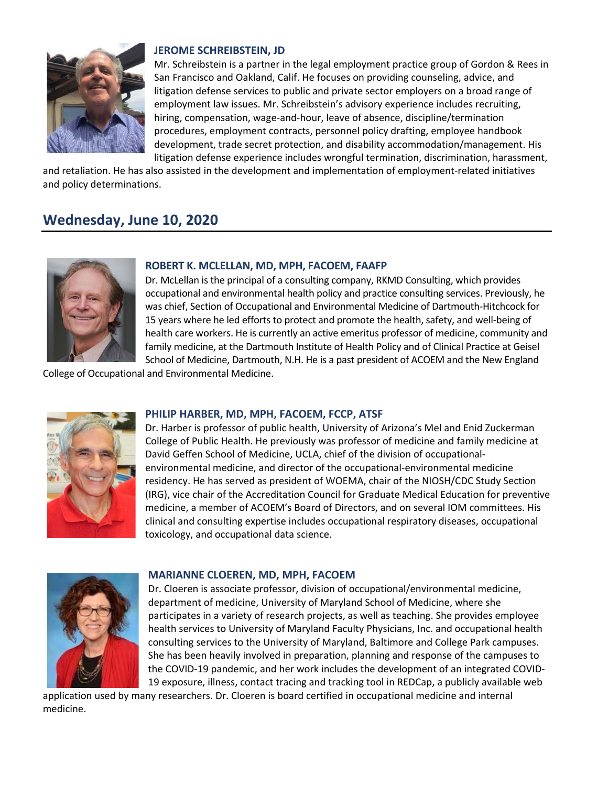

## **JEROME SCHREIBSTEIN, JD**

Mr. Schreibstein is a partner in the legal employment practice group of Gordon & Rees in San Francisco and Oakland, Calif. He focuses on providing counseling, advice, and litigation defense services to public and private sector employers on a broad range of employment law issues. Mr. Schreibstein's advisory experience includes recruiting, hiring, compensation, wage‐and‐hour, leave of absence, discipline/termination procedures, employment contracts, personnel policy drafting, employee handbook development, trade secret protection, and disability accommodation/management. His litigation defense experience includes wrongful termination, discrimination, harassment,

and retaliation. He has also assisted in the development and implementation of employment‐related initiatives and policy determinations.

# **Wednesday, June 10, 2020**



### **ROBERT K. MCLELLAN, MD, MPH, FACOEM, FAAFP**

Dr. McLellan is the principal of a consulting company, RKMD Consulting, which provides occupational and environmental health policy and practice consulting services. Previously, he was chief, Section of Occupational and Environmental Medicine of Dartmouth‐Hitchcock for 15 years where he led efforts to protect and promote the health, safety, and well‐being of health care workers. He is currently an active emeritus professor of medicine, community and family medicine, at the Dartmouth Institute of Health Policy and of Clinical Practice at Geisel School of Medicine, Dartmouth, N.H. He is a past president of ACOEM and the New England

College of Occupational and Environmental Medicine.



#### **PHILIP HARBER, MD, MPH, FACOEM, FCCP, ATSF**

Dr. Harber is professor of public health, University of Arizona's Mel and Enid Zuckerman College of Public Health. He previously was professor of medicine and family medicine at David Geffen School of Medicine, UCLA, chief of the division of occupational‐ environmental medicine, and director of the occupational‐environmental medicine residency. He has served as president of WOEMA, chair of the NIOSH/CDC Study Section (IRG), vice chair of the Accreditation Council for Graduate Medical Education for preventive medicine, a member of ACOEM's Board of Directors, and on several IOM committees. His clinical and consulting expertise includes occupational respiratory diseases, occupational toxicology, and occupational data science.



#### **MARIANNE CLOEREN, MD, MPH, FACOEM**

Dr. Cloeren is associate professor, division of occupational/environmental medicine, department of medicine, University of Maryland School of Medicine, where she participates in a variety of research projects, as well as teaching. She provides employee health services to University of Maryland Faculty Physicians, Inc. and occupational health consulting services to the University of Maryland, Baltimore and College Park campuses. She has been heavily involved in preparation, planning and response of the campuses to the COVID‐19 pandemic, and her work includes the development of an integrated COVID‐ 19 exposure, illness, contact tracing and tracking tool in REDCap, a publicly available web

application used by many researchers. Dr. Cloeren is board certified in occupational medicine and internal medicine.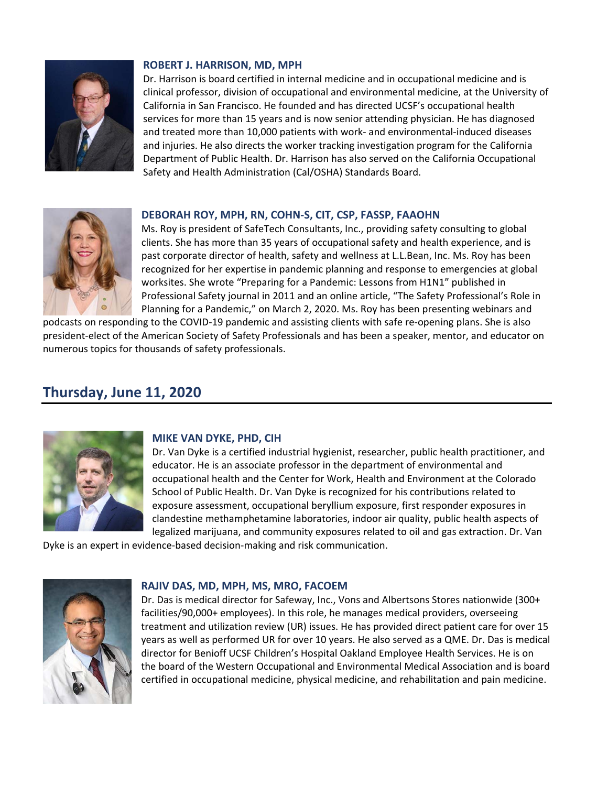

# **ROBERT J. HARRISON, MD, MPH**

Dr. Harrison is board certified in internal medicine and in occupational medicine and is clinical professor, division of occupational and environmental medicine, at the University of California in San Francisco. He founded and has directed UCSF's occupational health services for more than 15 years and is now senior attending physician. He has diagnosed and treated more than 10,000 patients with work- and environmental-induced diseases and injuries. He also directs the worker tracking investigation program for the California Department of Public Health. Dr. Harrison has also served on the California Occupational Safety and Health Administration (Cal/OSHA) Standards Board.

## **DEBORAH ROY, MPH, RN, COHN‐S, CIT, CSP, FASSP, FAAOHN**

Ms. Roy is president of SafeTech Consultants, Inc., providing safety consulting to global clients. She has more than 35 years of occupational safety and health experience, and is past corporate director of health, safety and wellness at L.L.Bean, Inc. Ms. Roy has been recognized for her expertise in pandemic planning and response to emergencies at global worksites. She wrote "Preparing for a Pandemic: Lessons from H1N1" published in Professional Safety journal in 2011 and an online article, "The Safety Professional's Role in Planning for a Pandemic," on March 2, 2020. Ms. Roy has been presenting webinars and

podcasts on responding to the COVID‐19 pandemic and assisting clients with safe re‐opening plans. She is also president‐elect of the American Society of Safety Professionals and has been a speaker, mentor, and educator on numerous topics for thousands of safety professionals.

# **Thursday, June 11, 2020**



## **MIKE VAN DYKE, PHD, CIH**

Dr. Van Dyke is a certified industrial hygienist, researcher, public health practitioner, and educator. He is an associate professor in the department of environmental and occupational health and the Center for Work, Health and Environment at the Colorado School of Public Health. Dr. Van Dyke is recognized for his contributions related to exposure assessment, occupational beryllium exposure, first responder exposures in clandestine methamphetamine laboratories, indoor air quality, public health aspects of legalized marijuana, and community exposures related to oil and gas extraction. Dr. Van

Dyke is an expert in evidence‐based decision‐making and risk communication.



#### **RAJIV DAS, MD, MPH, MS, MRO, FACOEM**

Dr. Das is medical director for Safeway, Inc., Vons and Albertsons Stores nationwide (300+ facilities/90,000+ employees). In this role, he manages medical providers, overseeing treatment and utilization review (UR) issues. He has provided direct patient care for over 15 years as well as performed UR for over 10 years. He also served as a QME. Dr. Das is medical director for Benioff UCSF Children's Hospital Oakland Employee Health Services. He is on the board of the Western Occupational and Environmental Medical Association and is board certified in occupational medicine, physical medicine, and rehabilitation and pain medicine.